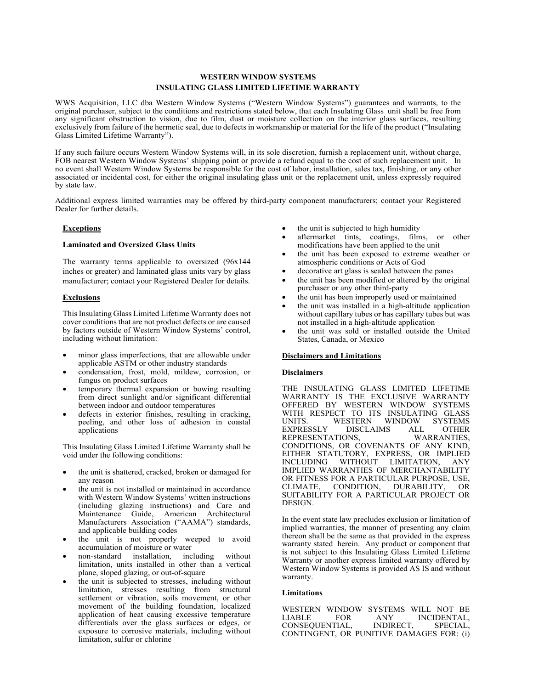# **WESTERN WINDOW SYSTEMS INSULATING GLASS LIMITED LIFETIME WARRANTY**

WWS Acquisition, LLC dba Western Window Systems ("Western Window Systems") guarantees and warrants, to the original purchaser, subject to the conditions and restrictions stated below, that each Insulating Glass unit shall be free from any significant obstruction to vision, due to film, dust or moisture collection on the interior glass surfaces, resulting exclusively from failure of the hermetic seal, due to defects in workmanship or material for the life of the product ("Insulating Glass Limited Lifetime Warranty").

If any such failure occurs Western Window Systems will, in its sole discretion, furnish a replacement unit, without charge, FOB nearest Western Window Systems' shipping point or provide a refund equal to the cost of such replacement unit. In no event shall Western Window Systems be responsible for the cost of labor, installation, sales tax, finishing, or any other associated or incidental cost, for either the original insulating glass unit or the replacement unit, unless expressly required by state law.

Additional express limited warranties may be offered by third-party component manufacturers; contact your Registered Dealer for further details.

### **Exceptions**

#### **Laminated and Oversized Glass Units**

The warranty terms applicable to oversized (96x144 inches or greater) and laminated glass units vary by glass manufacturer; contact your Registered Dealer for details.

## **Exclusions**

This Insulating Glass Limited Lifetime Warranty does not cover conditions that are not product defects or are caused by factors outside of Western Window Systems' control, including without limitation:

- minor glass imperfections, that are allowable under applicable ASTM or other industry standards
- condensation, frost, mold, mildew, corrosion, or fungus on product surfaces
- temporary thermal expansion or bowing resulting from direct sunlight and/or significant differential between indoor and outdoor temperatures
- defects in exterior finishes, resulting in cracking, peeling, and other loss of adhesion in coastal applications

This Insulating Glass Limited Lifetime Warranty shall be void under the following conditions:

- the unit is shattered, cracked, broken or damaged for any reason
- the unit is not installed or maintained in accordance with Western Window Systems' written instructions (including glazing instructions) and Care and Maintenance Guide, American Architectural Manufacturers Association ("AAMA") standards, and applicable building codes
- the unit is not properly weeped to avoid accumulation of moisture or water<br>non-standard installation, inc
- non-standard installation, including without limitation, units installed in other than a vertical plane, sloped glazing, or out-of-square
- the unit is subjected to stresses, including without limitation, stresses resulting from structural settlement or vibration, soils movement, or other movement of the building foundation, localized application of heat causing excessive temperature differentials over the glass surfaces or edges, or exposure to corrosive materials, including without limitation, sulfur or chlorine
- the unit is subjected to high humidity
- aftermarket tints, coatings, films, or other modifications have been applied to the unit
- the unit has been exposed to extreme weather or atmospheric conditions or Acts of God
- decorative art glass is sealed between the panes
- the unit has been modified or altered by the original purchaser or any other third-party
- the unit has been improperly used or maintained
- the unit was installed in a high-altitude application without capillary tubes or has capillary tubes but was not installed in a high-altitude application
- the unit was sold or installed outside the United States, Canada, or Mexico

#### **Disclaimers and Limitations**

## **Disclaimers**

THE INSULATING GLASS LIMITED LIFETIME WARRANTY IS THE EXCLUSIVE WARRANTY OFFERED BY WESTERN WINDOW SYSTEMS WITH RESPECT TO ITS INSULATING GLASS UNITS. WESTERN WINDOW SYSTEMS<br>EXPRESSLY DISCLAIMS ALL OTHER EXPRESSLY REPRESENTATIONS, WARRANTIES, CONDITIONS, OR COVENANTS OF ANY KIND, EITHER STATUTORY, EXPRESS, OR IMPLIED<br>INCLUDING WITHOUT LIMITATION. ANY LIMITATION, ANY IMPLIED WARRANTIES OF MERCHANTABILITY OR FITNESS FOR A PARTICULAR PURPOSE, USE,<br>CLIMATE, CONDITION, DURABILITY, OR CLIMATE, CONDITION, DURABILITY, OR SUITABILITY FOR A PARTICULAR PROJECT OR DESIGN.

In the event state law precludes exclusion or limitation of implied warranties, the manner of presenting any claim thereon shall be the same as that provided in the express warranty stated herein. Any product or component that is not subject to this Insulating Glass Limited Lifetime Warranty or another express limited warranty offered by Western Window Systems is provided AS IS and without warranty.

#### **Limitations**

WESTERN WINDOW SYSTEMS WILL NOT BE<br>LIABLE FOR ANY INCIDENTAL, ANY INCIDENTAL,<br>INDIRECT. SPECIAL. CONSEQUENTIAL, INDIRECT, SPECIAL, CONTINGENT, OR PUNITIVE DAMAGES FOR: (i)